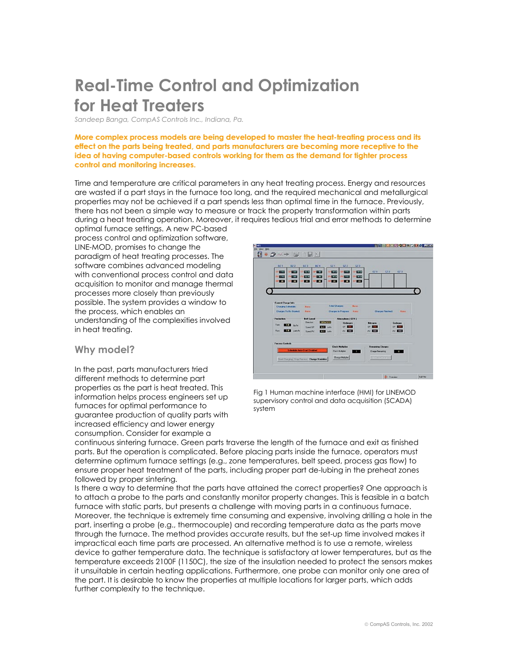# **Real-Time Control and Optimization for Heat Treaters**

*Sandeep Banga, CompAS Controls Inc., Indiana, Pa.*

**More complex process models are being developed to master the heat-treating process and its effect on the parts being treated, and parts manufacturers are becoming more receptive to the idea of having computer-based controls working for them as the demand for tighter process control and monitoring increases.** 

Time and temperature are critical parameters in any heat treating process. Energy and resources are wasted if a part stays in the furnace too long, and the required mechanical and metallurgical properties may not be achieved if a part spends less than optimal time in the furnace. Previously, there has not been a simple way to measure or track the property transformation within parts during a heat treating operation. Moreover, it requires tedious trial and error methods to determine

optimal furnace settings. A new PC-based process control and optimization software, LINE-MOD, promises to change the paradigm of heat treating processes. The software combines advanced modeling with conventional process control and data acquisition to monitor and manage thermal processes more closely than previously possible. The system provides a window to the process, which enables an understanding of the complexities involved in heat treating.



## **Why model?**

In the past, parts manufacturers tried different methods to determine part properties as the part is heat treated. This information helps process engineers set up furnaces for optimal performance to guarantee production of quality parts with increased efficiency and lower energy consumption. Consider for example a

Fig 1 Human machine interface (HMI) for LINEMOD supervisory control and data acquisition (SCADA) system

continuous sintering furnace. Green parts traverse the length of the furnace and exit as finished parts. But the operation is complicated. Before placing parts inside the furnace, operators must determine optimum furnace settings (e.g., zone temperatures, belt speed, process gas flow) to ensure proper heat treatment of the parts, including proper part de-lubing in the preheat zones followed by proper sintering.

Is there a way to determine that the parts have attained the correct properties? One approach is to attach a probe to the parts and constantly monitor property changes. This is feasible in a batch furnace with static parts, but presents a challenge with moving parts in a continuous furnace. Moreover, the technique is extremely time consuming and expensive, involving drilling a hole in the part, inserting a probe (e.g., thermocouple) and recording temperature data as the parts move through the furnace. The method provides accurate results, but the set-up time involved makes it impractical each time parts are processed. An alternative method is to use a remote, wireless device to gather temperature data. The technique is satisfactory at lower temperatures, but as the temperature exceeds 2100F (1150C), the size of the insulation needed to protect the sensors makes it unsuitable in certain heating applications. Furthermore, one probe can monitor only one area of the part. It is desirable to know the properties at multiple locations for larger parts, which adds further complexity to the technique.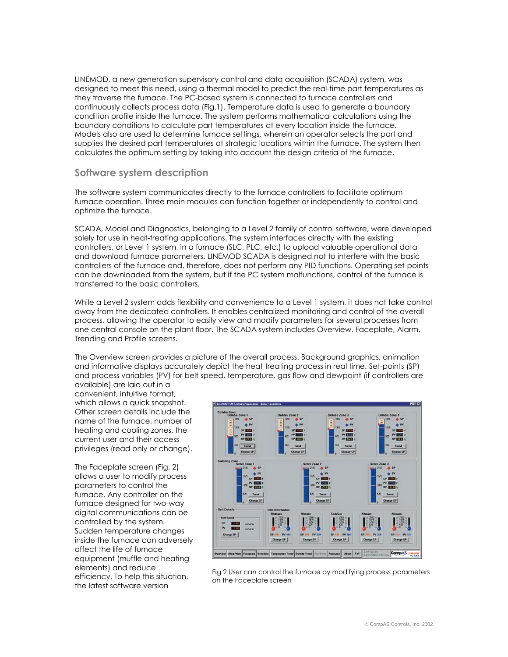LINEMOD, a new generation supervisory control and data acquisition (SCADA) system, was designed to meet this need, using a thermal model to predict the real-time part temperatures as they traverse the furnace. The PC-based system is connected to furnace controllers and continuously collects process data (Fig.1). Temperature data is used to generate a boundary condition profile inside the furnace. The system performs mathematical calculations using the boundary conditions to calculate part temperatures at every location inside the furnace. Models also are used to determine furnace settings, wherein an operator selects the part and supplies the desired part temperatures at strategic locations within the furnace. The system then calculates the optimum setting by taking into account the design criteria of the furnace.

## **Software system description**

The software system communicates directly to the furnace controllers to facilitate optimum furnace operation. Three main modules can function together or independently to control and optimize the furnace.

SCADA, Model and Diagnostics, belonging to a Level 2 family of control software, were developed solely for use in heat-treating applications. The system interfaces directly with the existing controllers, or Level 1 system, in a furnace (SLC, PLC, etc.) to upload valuable operational data and download furnace parameters. LINEMOD SCADA is designed not to interfere with the basic controllers of the furnace and, therefore, does not perform any PID functions. Operating set-points can be downloaded from the system, but if the PC system malfunctions, control of the furnace is transferred to the basic controllers.

While a Level 2 system adds flexibility and convenience to a Level 1 system, it does not take control away from the dedicated controllers. It enables centralized monitoring and control of the overall process, allowing the operator to easily view and modify parameters for several processes from one central console on the plant floor. The SCADA system includes Overview, Faceplate, Alarm, Trending and Profile screens.

The Overview screen provides a picture of the overall process. Background graphics, animation and informative displays accurately depict the heat treating process in real time. Set-points (SP) and process variables (PV) for belt speed, temperature, gas flow and dewpoint (if controllers are

available) are laid out in a convenient, intuitive format, which allows a quick snapshot. Other screen details include the name of the furnace, number of heating and cooling zones, the current user and their access privileges (read only or change).

The Faceplate screen (Fig. 2) allows a user to modify process parameters to control the furnace. Any controller on the furnace designed for two-way digital communications can be controlled by the system. Sudden temperature changes inside the furnace can adversely affect the life of furnace equipment (muffle and heating elements) and reduce efficiency. To help this situation, the latest software version



Fig 2 User can control the furnace by modifying process parameters on the Faceplate screen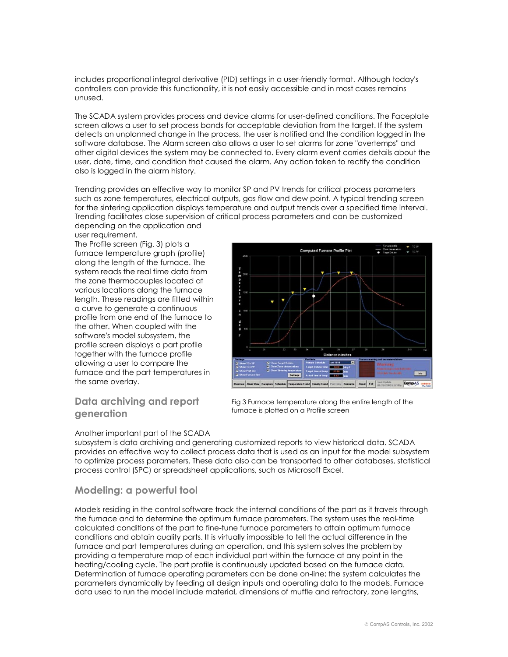includes proportional integral derivative (PID) settings in a user-friendly format. Although today's controllers can provide this functionality, it is not easily accessible and in most cases remains unused.

The SCADA system provides process and device alarms for user-defined conditions. The Faceplate screen allows a user to set process bands for acceptable deviation from the target. If the system detects an unplanned change in the process, the user is notified and the condition logged in the software database. The Alarm screen also allows a user to set alarms for zone "overtemps" and other digital devices the system may be connected to. Every alarm event carries details about the user, date, time, and condition that caused the alarm. Any action taken to rectify the condition also is logged in the alarm history.

Trending provides an effective way to monitor SP and PV trends for critical process parameters such as zone temperatures, electrical outputs, gas flow and dew point. A typical trending screen for the sintering application displays temperature and output trends over a specified time interval. Trending facilitates close supervision of critical process parameters and can be customized depending on the application and

#### user requirement.

The Profile screen (Fig. 3) plots a furnace temperature graph (profile) along the length of the furnace. The system reads the real time data from the zone thermocouples located at various locations along the furnace length. These readings are fitted within a curve to generate a continuous profile from one end of the furnace to the other. When coupled with the software's model subsystem, the profile screen displays a part profile together with the furnace profile allowing a user to compare the furnace and the part temperatures in the same overlay.

## **Data archiving and report generation**

# Another important part of the SCADA



Fig 3 Furnace temperature along the entire length of the furnace is plotted on a Profile screen

subsystem is data archiving and generating customized reports to view historical data. SCADA provides an effective way to collect process data that is used as an input for the model subsystem to optimize process parameters. These data also can be transported to other databases, statistical process control (SPC) or spreadsheet applications, such as Microsoft Excel.

#### **Modeling: a powerful tool**

Models residing in the control software track the internal conditions of the part as it travels through the furnace and to determine the optimum furnace parameters. The system uses the real-time calculated conditions of the part to fine-tune furnace parameters to attain optimum furnace conditions and obtain quality parts. It is virtually impossible to tell the actual difference in the furnace and part temperatures during an operation, and this system solves the problem by providing a temperature map of each individual part within the furnace at any point in the heating/cooling cycle. The part profile is continuously updated based on the furnace data. Determination of furnace operating parameters can be done on-line; the system calculates the parameters dynamically by feeding all design inputs and operating data to the models. Furnace data used to run the model include material, dimensions of muffle and refractory, zone lengths,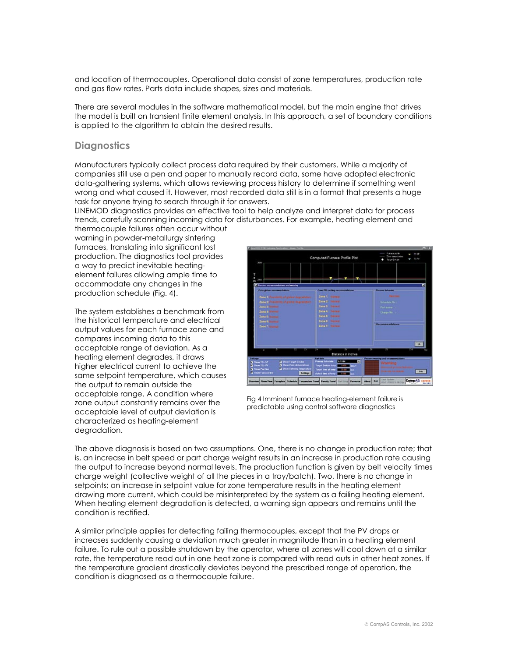and location of thermocouples. Operational data consist of zone temperatures, production rate and gas flow rates. Parts data include shapes, sizes and materials.

There are several modules in the software mathematical model, but the main engine that drives the model is built on transient finite element analysis. In this approach, a set of boundary conditions is applied to the algorithm to obtain the desired results.

## **Diagnostics**

Manufacturers typically collect process data required by their customers. While a majority of companies still use a pen and paper to manually record data, some have adopted electronic data-gathering systems, which allows reviewing process history to determine if something went wrong and what caused it. However, most recorded data still is in a format that presents a huge task for anyone trying to search through it for answers.

LINEMOD diagnostics provides an effective tool to help analyze and interpret data for process trends, carefully scanning incoming data for disturbances. For example, heating element and thermocouple failures often occur without

warning in powder-metallurgy sintering furnaces, translating into significant lost production. The diagnostics tool provides a way to predict inevitable heatingelement failures allowing ample time to accommodate any changes in the production schedule (Fig. 4).

The system establishes a benchmark from the historical temperature and electrical output values for each furnace zone and compares incoming data to this acceptable range of deviation. As a heating element degrades, it draws higher electrical current to achieve the same setpoint temperature, which causes the output to remain outside the acceptable range. A condition where zone output constantly remains over the acceptable level of output deviation is characterized as heating-element degradation.



Fig 4 Imminent furnace heating-element failure is predictable using control software diagnostics

The above diagnosis is based on two assumptions. One, there is no change in production rate; that is, an increase in belt speed or part charge weight results in an increase in production rate causing the output to increase beyond normal levels. The production function is given by belt velocity times charge weight (collective weight of all the pieces in a tray/batch). Two, there is no change in setpoints; an increase in setpoint value for zone temperature results in the heating element drawing more current, which could be misinterpreted by the system as a failing heating element. When heating element degradation is detected, a warning sign appears and remains until the condition is rectified.

A similar principle applies for detecting failing thermocouples, except that the PV drops or increases suddenly causing a deviation much greater in magnitude than in a heating element failure. To rule out a possible shutdown by the operator, where all zones will cool down at a similar rate, the temperature read out in one heat zone is compared with read outs in other heat zones. If the temperature gradient drastically deviates beyond the prescribed range of operation, the condition is diagnosed as a thermocouple failure.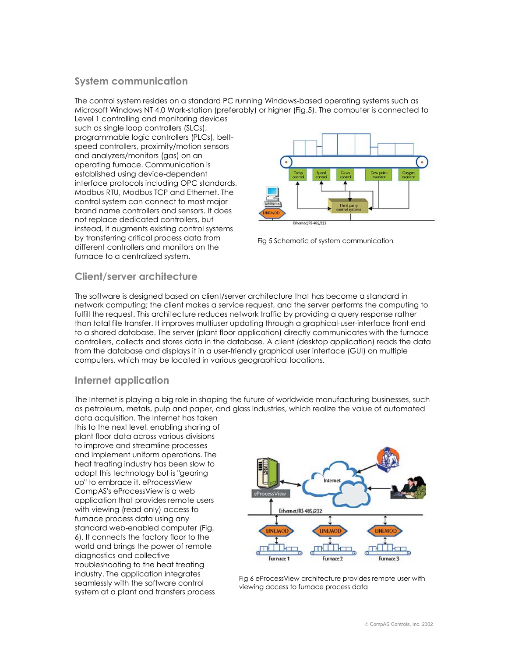## **System communication**

The control system resides on a standard PC running Windows-based operating systems such as Microsoft Windows NT 4.0 Work-station (preferably) or higher (Fig.5). The computer is connected to Level 1 controlling and monitoring devices

such as single loop controllers (SLCs), programmable logic controllers (PLCs), beltspeed controllers, proximity/motion sensors and analyzers/monitors (gas) on an operating furnace. Communication is established using device-dependent interface protocols including OPC standards, Modbus RTU, Modbus TCP and Ethernet. The control system can connect to most major brand name controllers and sensors. It does not replace dedicated controllers, but instead, it augments existing control systems by transferring critical process data from different controllers and monitors on the furnace to a centralized system.



Fig 5 Schematic of system communication

## **Client/server architecture**

The software is designed based on client/server architecture that has become a standard in network computing; the client makes a service request, and the server performs the computing to fulfill the request. This architecture reduces network traffic by providing a query response rather than total file transfer. It improves multiuser updating through a graphical-user-interface front end to a shared database. The server (plant floor application) directly communicates with the furnace controllers, collects and stores data in the database. A client (desktop application) reads the data from the database and displays it in a user-friendly graphical user interface (GUI) on multiple computers, which may be located in various geographical locations.

## **Internet application**

The Internet is playing a big role in shaping the future of worldwide manufacturing businesses, such as petroleum, metals, pulp and paper, and glass industries, which realize the value of automated

data acquisition. The Internet has taken this to the next level, enabling sharing of plant floor data across various divisions to improve and streamline processes and implement uniform operations. The heat treating industry has been slow to adopt this technology but is "gearing up" to embrace it. eProcessView CompAS's eProcessView is a web application that provides remote users with viewing (read-only) access to furnace process data using any standard web-enabled computer (Fig. 6). It connects the factory floor to the world and brings the power of remote diagnostics and collective troubleshooting to the heat treating industry. The application integrates seamlessly with the software control system at a plant and transfers process



Fig 6 eProcessView architecture provides remote user with viewing access to furnace process data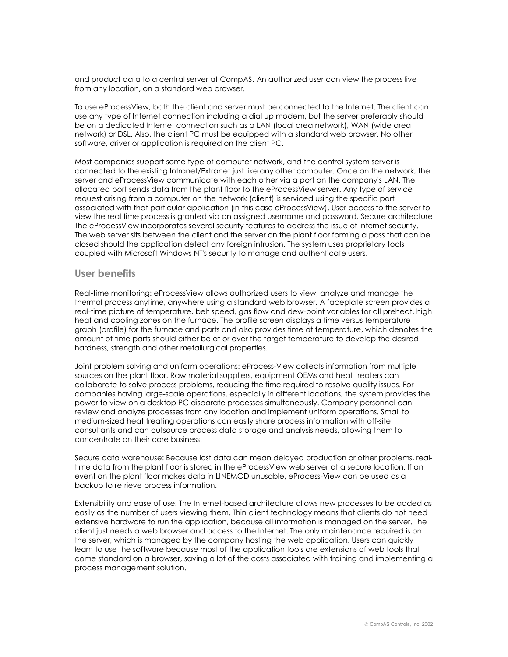and product data to a central server at CompAS. An authorized user can view the process live from any location, on a standard web browser.

To use eProcessView, both the client and server must be connected to the Internet. The client can use any type of Internet connection including a dial up modem, but the server preferably should be on a dedicated Internet connection such as a LAN (local area network), WAN (wide area network) or DSL. Also, the client PC must be equipped with a standard web browser. No other software, driver or application is required on the client PC.

Most companies support some type of computer network, and the control system server is connected to the existing Intranet/Extranet just like any other computer. Once on the network, the server and eProcessView communicate with each other via a port on the company's LAN. The allocated port sends data from the plant floor to the eProcessView server. Any type of service request arising from a computer on the network (client) is serviced using the specific port associated with that particular application (in this case eProcessView). User access to the server to view the real time process is granted via an assigned username and password. Secure architecture The eProcessView incorporates several security features to address the issue of Internet security. The web server sits between the client and the server on the plant floor forming a pass that can be closed should the application detect any foreign intrusion. The system uses proprietary tools coupled with Microsoft Windows NT's security to manage and authenticate users.

#### **User benefits**

Real-time monitoring: eProcessView allows authorized users to view, analyze and manage the thermal process anytime, anywhere using a standard web browser. A faceplate screen provides a real-time picture of temperature, belt speed, gas flow and dew-point variables for all preheat, high heat and cooling zones on the furnace. The profile screen displays a time versus temperature graph (profile) for the furnace and parts and also provides time at temperature, which denotes the amount of time parts should either be at or over the target temperature to develop the desired hardness, strength and other metallurgical properties.

Joint problem solving and uniform operations: eProcess-View collects information from multiple sources on the plant floor. Raw material suppliers, equipment OEMs and heat treaters can collaborate to solve process problems, reducing the time required to resolve quality issues. For companies having large-scale operations, especially in different locations, the system provides the power to view on a desktop PC disparate processes simultaneously. Company personnel can review and analyze processes from any location and implement uniform operations. Small to medium-sized heat treating operations can easily share process information with off-site consultants and can outsource process data storage and analysis needs, allowing them to concentrate on their core business.

Secure data warehouse: Because lost data can mean delayed production or other problems, realtime data from the plant floor is stored in the eProcessView web server at a secure location. If an event on the plant floor makes data in LINEMOD unusable, eProcess-View can be used as a backup to retrieve process information.

Extensibility and ease of use: The Internet-based architecture allows new processes to be added as easily as the number of users viewing them. Thin client technology means that clients do not need extensive hardware to run the application, because all information is managed on the server. The client just needs a web browser and access to the Internet. The only maintenance required is on the server, which is managed by the company hosting the web application. Users can quickly learn to use the software because most of the application tools are extensions of web tools that come standard on a browser, saving a lot of the costs associated with training and implementing a process management solution.